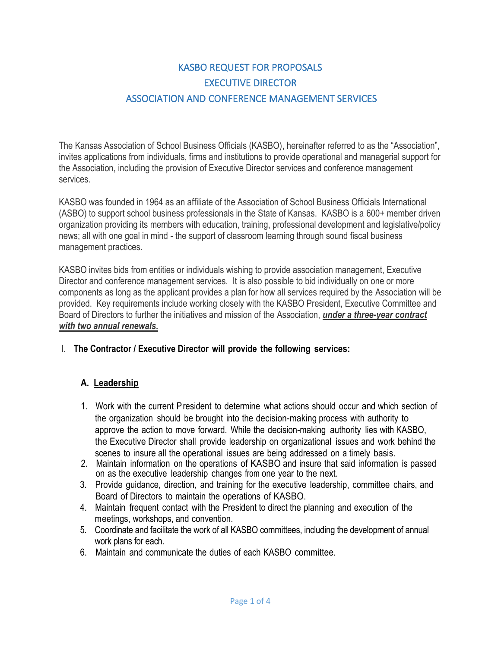# KASBO REQUEST FOR PROPOSALS EXECUTIVE DIRECTOR ASSOCIATION AND CONFERENCE MANAGEMENT SERVICES

The Kansas Association of School Business Officials (KASBO), hereinafter referred to as the "Association", invites applications from individuals, firms and institutions to provide operational and managerial support for the Association, including the provision of Executive Director services and conference management services.

KASBO was founded in 1964 as an affiliate of the Association of School Business Officials International (ASBO) to support school business professionals in the State of Kansas. KASBO is a 600+ member driven organization providing its members with education, training, professional development and legislative/policy news; all with one goal in mind - the support of classroom learning through sound fiscal business management practices.

KASBO invites bids from entities or individuals wishing to provide association management, Executive Director and conference management services. It is also possible to bid individually on one or more components as long as the applicant provides a plan for how all services required by the Association will be provided. Key requirements include working closely with the KASBO President, Executive Committee and Board of Directors to further the initiatives and mission of the Association, *under a three-year contract with two annual renewals.*

### I. **The Contractor / Executive Director will provide the following services:**

### **A. Leadership**

- 1. Work with the current President to determine what actions should occur and which section of the organization should be brought into the decision-making process with authority to approve the action to move forward. While the decision-making authority lies with KASBO, the Executive Director shall provide leadership on organizational issues and work behind the scenes to insure all the operational issues are being addressed on a timely basis.
- 2. Maintain information on the operations of KASBO and insure that said information is passed on as the executive leadership changes from one year to the next.
- 3. Provide guidance, direction, and training for the executive leadership, committee chairs, and Board of Directors to maintain the operations of KASBO.
- 4. Maintain frequent contact with the President to direct the planning and execution of the meetings, workshops, and convention.
- 5. Coordinate and facilitate the work of all KASBO committees, including the development of annual work plans for each.
- 6. Maintain and communicate the duties of each KASBO committee.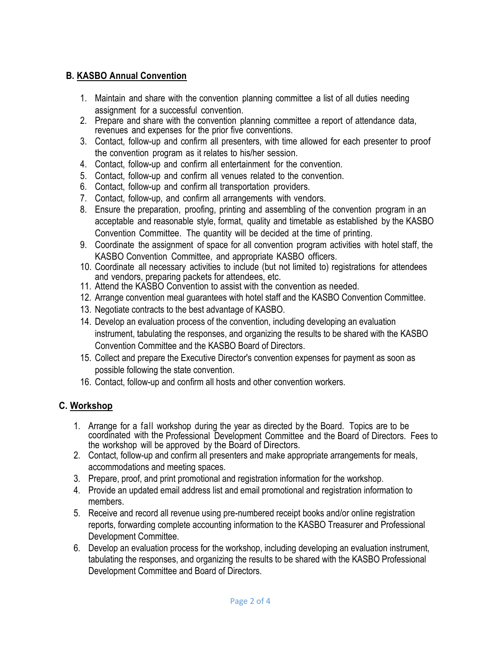## **B. KASBO Annual Convention**

- 1. Maintain and share with the convention planning committee a list of all duties needing assignment for a successful convention.
- 2. Prepare and share with the convention planning committee a report of attendance data, revenues and expenses for the prior five conventions.
- 3. Contact, follow-up and confirm all presenters, with time allowed for each presenter to proof the convention program as it relates to his/her session.
- 4. Contact, follow-up and confirm all entertainment for the convention.
- 5. Contact, follow-up and confirm all venues related to the convention.
- 6. Contact, follow-up and confirm all transportation providers.
- 7. Contact, follow-up, and confirm all arrangements with vendors.
- 8. Ensure the preparation, proofing, printing and assembling of the convention program in an acceptable and reasonable style, format, quality and timetable as established by the KASBO Convention Committee. The quantity will be decided at the time of printing.
- 9. Coordinate the assignment of space for all convention program activities with hotel staff, the KASBO Convention Committee, and appropriate KASBO officers.
- 10. Coordinate all necessary activities to include (but not limited to) registrations for attendees and vendors, preparing packets for attendees, etc.
- 11. Attend the KASBO Convention to assist with the convention as needed.
- 12. Arrange convention meal guarantees with hotel staff and the KASBO Convention Committee.
- 13. Negotiate contracts to the best advantage of KASBO.
- 14. Develop an evaluation process of the convention, including developing an evaluation instrument, tabulating the responses, and organizing the results to be shared with the KASBO Convention Committee and the KASBO Board of Directors.
- 15. Collect and prepare the Executive Director's convention expenses for payment as soon as possible following the state convention.
- 16. Contact, follow-up and confirm all hosts and other convention workers.

### **C. Workshop**

- 1. Arrange for a fall workshop during the year as directed by the Board. Topics are to be coordinated with the Professional Development Committee and the Board of Directors. Fees to the workshop will be approved by the Board of Directors.
- 2. Contact, follow-up and confirm all presenters and make appropriate arrangements for meals, accommodations and meeting spaces.
- 3. Prepare, proof, and print promotional and registration information for the workshop.
- 4. Provide an updated email address list and email promotional and registration information to members.
- 5. Receive and record all revenue using pre-numbered receipt books and/or online registration reports, forwarding complete accounting information to the KASBO Treasurer and Professional Development Committee.
- 6. Develop an evaluation process for the workshop, including developing an evaluation instrument, tabulating the responses, and organizing the results to be shared with the KASBO Professional Development Committee and Board of Directors.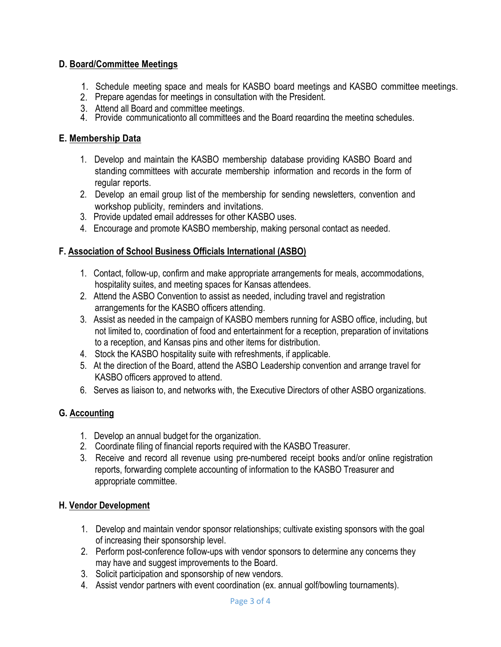### **D. Board/Committee Meetings**

- 1. Schedule meeting space and meals for KASBO board meetings and KASBO committee meetings.
- 2. Prepare agendas for meetings in consultation with the President.
- 3. Attend all Board and committee meetings.
- 4. Provide communicationto all committees and the Board regarding the meeting schedules.

## **E**. <u>Membership Data</u>

- 1. Develop and maintain the KASBO membership database providing KASBO Board and standing committees with accurate membership information and records in the form of regular reports.
- 2. Develop an email group list of the membership for sending newsletters, convention and workshop publicity, reminders and invitations.
- 3. Provide updated email addresses for other KASBO uses.
- 4. Encourage and promote KASBO membership, making personal contact as needed.

### **F. Association of School Business Officials International (ASBO)**

- 1. Contact, follow-up, confirm and make appropriate arrangements for meals, accommodations, hospitality suites, and meeting spaces for Kansas attendees.
- 2. Attend the ASBO Convention to assist as needed, including travel and registration arrangements for the KASBO officers attending.
- 3. Assist as needed in the campaign of KASBO members running for ASBO office, including, but not limited to, coordination of food and entertainment for a reception, preparation of invitations to a reception, and Kansas pins and other items for distribution.
- 4. Stock the KASBO hospitality suite with refreshments, if applicable.
- 5. At the direction of the Board, attend the ASBO Leadership convention and arrange travel for KASBO officers approved to attend.
- 6. Serves as liaison to, and networks with, the Executive Directors of other ASBO organizations.

# **G. Accounting**

- 1. Develop an annual budget for the organization.
- 2. Coordinate filing of financial reports required with the KASBO Treasurer.
- 3. Receive and record all revenue using pre-numbered receipt books and/or online registration reports, forwarding complete accounting of information to the KASBO Treasurer and appropriate committee.

### **H. Vendor Development**

- 1. Develop and maintain vendor sponsor relationships; cultivate existing sponsors with the goal of increasing their sponsorship level.
- 2. Perform post-conference follow-ups with vendor sponsors to determine any concerns they may have and suggest improvements to the Board.
- 3. Solicit participation and sponsorship of new vendors.
- 4. Assist vendor partners with event coordination (ex. annual golf/bowling tournaments).